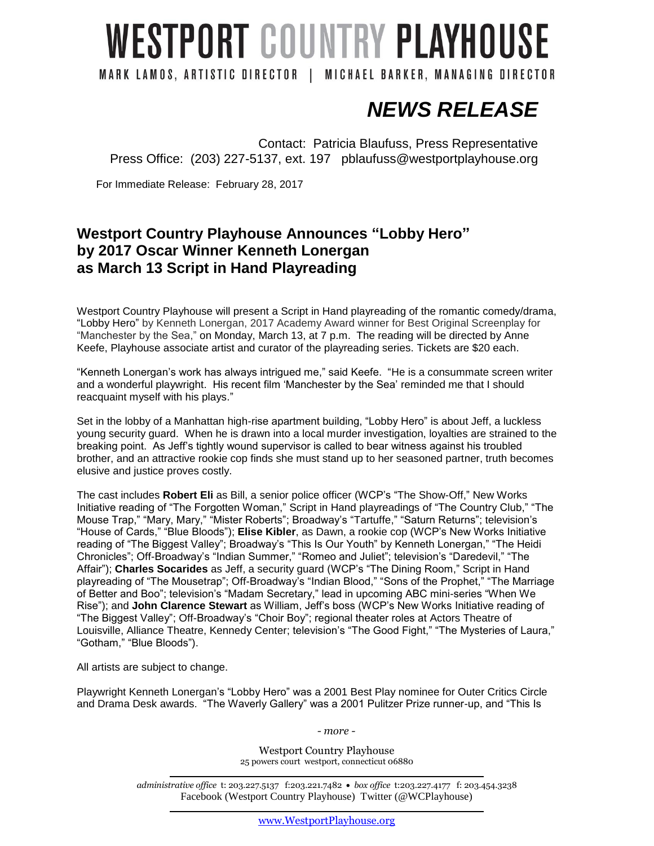## **WESTPORT COUNTRY PLAYHOUSE**

MARK LAMOS, ARTISTIC DIRECTOR | MICHAEL BARKER, MANAGING DIRECTOR

 *NEWS RELEASE*

Contact: Patricia Blaufuss, Press Representative Press Office: (203) 227-5137, ext. 197 pblaufuss@westportplayhouse.org

For Immediate Release: February 28, 2017

## **Westport Country Playhouse Announces "Lobby Hero" by 2017 Oscar Winner Kenneth Lonergan as March 13 Script in Hand Playreading**

Westport Country Playhouse will present a Script in Hand playreading of the romantic comedy/drama, "Lobby Hero" by Kenneth Lonergan, 2017 Academy Award winner for Best Original Screenplay for "Manchester by the Sea," on Monday, March 13, at 7 p.m. The reading will be directed by Anne Keefe, Playhouse associate artist and curator of the playreading series. Tickets are \$20 each.

"Kenneth Lonergan's work has always intrigued me," said Keefe. "He is a consummate screen writer and a wonderful playwright. His recent film 'Manchester by the Sea' reminded me that I should reacquaint myself with his plays."

Set in the lobby of a Manhattan high-rise apartment building, "Lobby Hero" is about Jeff, a luckless young security guard. When he is drawn into a local murder investigation, loyalties are strained to the breaking point. As Jeff's tightly wound supervisor is called to bear witness against his troubled brother, and an attractive rookie cop finds she must stand up to her seasoned partner, truth becomes elusive and justice proves costly.

The cast includes **Robert Eli** as Bill, a senior police officer (WCP's "The Show-Off," New Works Initiative reading of "The Forgotten Woman," Script in Hand playreadings of "The Country Club," "The Mouse Trap," "Mary, Mary," "Mister Roberts"; Broadway's "Tartuffe," "Saturn Returns"; television's "House of Cards," "Blue Bloods"); **Elise Kibler**, as Dawn, a rookie cop (WCP's New Works Initiative reading of "The Biggest Valley"; Broadway's "This Is Our Youth" by Kenneth Lonergan," "The Heidi Chronicles"; Off-Broadway's "Indian Summer," "Romeo and Juliet"; television's "Daredevil," "The Affair"); **Charles Socarides** as Jeff, a security guard (WCP's "The Dining Room," Script in Hand playreading of "The Mousetrap"; Off-Broadway's "Indian Blood," "Sons of the Prophet," "The Marriage of Better and Boo"; television's "Madam Secretary," lead in upcoming ABC mini-series "When We Rise"); and **John Clarence Stewart** as William, Jeff's boss (WCP's New Works Initiative reading of "The Biggest Valley"; Off-Broadway's "Choir Boy"; regional theater roles at Actors Theatre of Louisville, Alliance Theatre, Kennedy Center; television's "The Good Fight," "The Mysteries of Laura," "Gotham," "Blue Bloods").

All artists are subject to change.

Playwright Kenneth Lonergan's "Lobby Hero" was a 2001 Best Play nominee for Outer Critics Circle and Drama Desk awards. "The Waverly Gallery" was a 2001 Pulitzer Prize runner-up, and "This Is

*- more -*

Westport Country Playhouse 25 powers court westport, connecticut 06880

*administrative office* t: 203.227.5137 f:203.221.7482 *box office* t:203.227.4177 f: 203.454.3238 Facebook (Westport Country Playhouse) Twitter (@WCPlayhouse)

[www.WestportPlayhouse.org](http://www.westportplayhouse.org/)